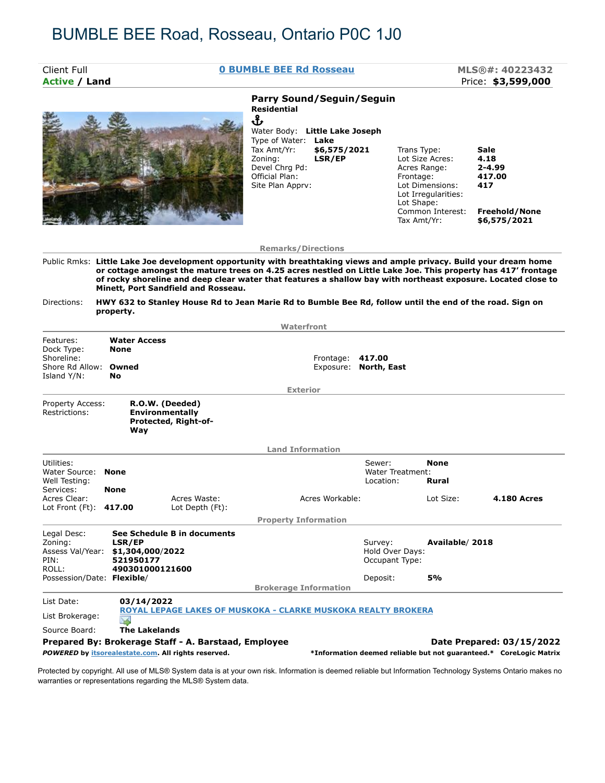## BUMBLE BEE Road, Rosseau, Ontario P0C 1J0

| Client Full                                                                                                                                                                                          |                                                                                                           |                                                            | <b>0 BUMBLE BEE Rd Rosseau</b>                                                                                                                                                                                                                                                                                                                          |                                                                       |                                                                               | MLS®#: 40223432                                                              |
|------------------------------------------------------------------------------------------------------------------------------------------------------------------------------------------------------|-----------------------------------------------------------------------------------------------------------|------------------------------------------------------------|---------------------------------------------------------------------------------------------------------------------------------------------------------------------------------------------------------------------------------------------------------------------------------------------------------------------------------------------------------|-----------------------------------------------------------------------|-------------------------------------------------------------------------------|------------------------------------------------------------------------------|
| <b>Active / Land</b>                                                                                                                                                                                 |                                                                                                           |                                                            |                                                                                                                                                                                                                                                                                                                                                         |                                                                       |                                                                               | Price: \$3,599,000                                                           |
|                                                                                                                                                                                                      |                                                                                                           |                                                            | <b>Parry Sound/Seguin/Seguin</b><br><b>Residential</b><br>Ֆ<br>Water Body: Little Lake Joseph<br>Type of Water: Lake<br>Tax Amt/Yr:<br>\$6,575/2021<br>Zoning:<br>LSR/EP<br>Devel Chrq Pd:<br>Official Plan:<br>Site Plan Apprv:                                                                                                                        | Trans Type:<br>Acres Range:<br>Frontage:<br>Lot Shape:<br>Tax Amt/Yr: | Lot Size Acres:<br>Lot Dimensions:<br>Lot Irregularities:<br>Common Interest: | Sale<br>4.18<br>$2 - 4.99$<br>417.00<br>417<br>Freehold/None<br>\$6,575/2021 |
|                                                                                                                                                                                                      |                                                                                                           |                                                            | <b>Remarks/Directions</b>                                                                                                                                                                                                                                                                                                                               |                                                                       |                                                                               |                                                                              |
|                                                                                                                                                                                                      |                                                                                                           | Minett, Port Sandfield and Rosseau.                        | Public Rmks: Little Lake Joe development opportunity with breathtaking views and ample privacy. Build your dream home<br>or cottage amongst the mature trees on 4.25 acres nestled on Little Lake Joe. This property has 417' frontage<br>of rocky shoreline and deep clear water that features a shallow bay with northeast exposure. Located close to |                                                                       |                                                                               |                                                                              |
| Directions:                                                                                                                                                                                          |                                                                                                           |                                                            | HWY 632 to Stanley House Rd to Jean Marie Rd to Bumble Bee Rd, follow until the end of the road. Sign on                                                                                                                                                                                                                                                |                                                                       |                                                                               |                                                                              |
|                                                                                                                                                                                                      | property.                                                                                                 |                                                            |                                                                                                                                                                                                                                                                                                                                                         |                                                                       |                                                                               |                                                                              |
|                                                                                                                                                                                                      |                                                                                                           |                                                            | Waterfront                                                                                                                                                                                                                                                                                                                                              |                                                                       |                                                                               |                                                                              |
|                                                                                                                                                                                                      | <b>Water Access</b><br><b>None</b><br><b>No</b>                                                           |                                                            | Frontage:                                                                                                                                                                                                                                                                                                                                               | 417.00<br>Exposure: North, East                                       |                                                                               |                                                                              |
|                                                                                                                                                                                                      |                                                                                                           |                                                            | <b>Exterior</b>                                                                                                                                                                                                                                                                                                                                         |                                                                       |                                                                               |                                                                              |
|                                                                                                                                                                                                      | Way                                                                                                       | R.O.W. (Deeded)<br>Environmentally<br>Protected, Right-of- |                                                                                                                                                                                                                                                                                                                                                         |                                                                       |                                                                               |                                                                              |
|                                                                                                                                                                                                      |                                                                                                           |                                                            | <b>Land Information</b>                                                                                                                                                                                                                                                                                                                                 |                                                                       |                                                                               |                                                                              |
| Features:<br>Dock Type:<br>Shoreline:<br>Shore Rd Allow: Owned<br>Island Y/N:<br>Property Access:<br>Restrictions:<br>Utilities:<br>Water Source: None<br>Well Testing:<br>Services:<br>Acres Clear: | <b>None</b>                                                                                               | Acres Waste:                                               | Acres Workable:                                                                                                                                                                                                                                                                                                                                         | Sewer:<br><b>Water Treatment:</b><br>Location:                        | <b>None</b><br>Rural<br>Lot Size:                                             | <b>4.180 Acres</b>                                                           |
| Lot Front (Ft): 417.00                                                                                                                                                                               |                                                                                                           | Lot Depth (Ft):                                            |                                                                                                                                                                                                                                                                                                                                                         |                                                                       |                                                                               |                                                                              |
| Legal Desc:<br>Zoning:<br>PIN:<br>ROLL:                                                                                                                                                              | LSR/EP<br>Assess Val/Year: \$1,304,000/2022<br>521950177<br>490301000121600<br>Possession/Date: Flexible/ | See Schedule B in documents                                | <b>Property Information</b><br><b>Brokerage Information</b>                                                                                                                                                                                                                                                                                             | Survey:<br>Hold Over Days:<br>Occupant Type:<br>Deposit:              | Available/2018<br>5%                                                          |                                                                              |

Source Board: **The Lakelands**

**Prepared By: Brokerage Staff - A. Barstaad, Employee <b>Date Prepared: 03/15/2022** 

*POWERED* **by itsorealestate.com. All rights reserved. \*Information deemed reliable but not guaranteed.\* CoreLogic Matrix**

Protected by copyright. All use of MLS® System data is at your own risk. Information is deemed reliable but Information Technology Systems Ontario makes no warranties or representations regarding the MLS® System data.